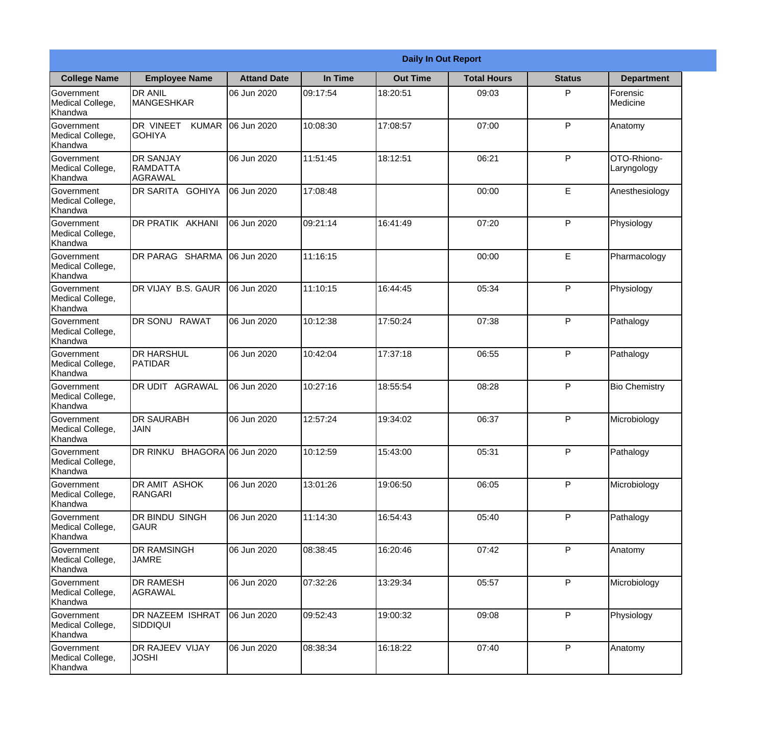|                                                  |                                                |                    |          | <b>Daily In Out Report</b> |                    |               |                            |
|--------------------------------------------------|------------------------------------------------|--------------------|----------|----------------------------|--------------------|---------------|----------------------------|
| <b>College Name</b>                              | <b>Employee Name</b>                           | <b>Attand Date</b> | In Time  | <b>Out Time</b>            | <b>Total Hours</b> | <b>Status</b> | <b>Department</b>          |
| Government<br>Medical College,<br>Khandwa        | <b>DR ANIL</b><br><b>MANGESHKAR</b>            | 06 Jun 2020        | 09:17:54 | 18:20:51                   | 09:03              | P             | Forensic<br>Medicine       |
| Government<br>Medical College,<br>Khandwa        | DR VINEET<br><b>KUMAR</b><br><b>GOHIYA</b>     | 06 Jun 2020        | 10:08:30 | 17:08:57                   | 07:00              | P             | Anatomy                    |
| <b>Government</b><br>Medical College,<br>Khandwa | <b>DR SANJAY</b><br><b>RAMDATTA</b><br>AGRAWAL | 06 Jun 2020        | 11:51:45 | 18:12:51                   | 06:21              | P             | OTO-Rhiono-<br>Laryngology |
| Government<br>Medical College,<br>Khandwa        | <b>DR SARITA GOHIYA</b>                        | 06 Jun 2020        | 17:08:48 |                            | 00:00              | E             | Anesthesiology             |
| Government<br>Medical College,<br>Khandwa        | <b>DR PRATIK AKHANI</b>                        | 06 Jun 2020        | 09:21:14 | 16:41:49                   | 07:20              | P             | Physiology                 |
| Government<br>Medical College,<br>Khandwa        | DR PARAG SHARMA                                | 06 Jun 2020        | 11:16:15 |                            | 00:00              | E             | Pharmacology               |
| Government<br>Medical College,<br>Khandwa        | <b>IDR VIJAY B.S. GAUR</b>                     | 06 Jun 2020        | 11:10:15 | 16:44:45                   | 05:34              | P             | Physiology                 |
| <b>Government</b><br>Medical College,<br>Khandwa | DR SONU RAWAT                                  | 06 Jun 2020        | 10:12:38 | 17:50:24                   | 07:38              | P             | Pathalogy                  |
| Government<br>Medical College,<br>Khandwa        | <b>DR HARSHUL</b><br>PATIDAR                   | 06 Jun 2020        | 10:42:04 | 17:37:18                   | 06:55              | P             | Pathalogy                  |
| Government<br>Medical College,<br>Khandwa        | DR UDIT<br><b>AGRAWAL</b>                      | 06 Jun 2020        | 10:27:16 | 18:55:54                   | 08:28              | P             | <b>Bio Chemistry</b>       |
| Government<br>Medical College,<br>Khandwa        | <b>IDR SAURABH</b><br><b>JAIN</b>              | 06 Jun 2020        | 12:57:24 | 19:34:02                   | 06:37              | $\mathsf{P}$  | Microbiology               |
| Government<br>Medical College,<br>Khandwa        | DR RINKU BHAGORA 06 Jun 2020                   |                    | 10:12:59 | 15:43:00                   | 05:31              | P             | Pathalogy                  |
| Government<br>Medical College,<br>Khandwa        | DR AMIT ASHOK<br>RANGARI                       | 06 Jun 2020        | 13:01:26 | 19:06:50                   | 06:05              | P             | Microbiology               |
| Government<br>Medical College,<br>Khandwa        | DR BINDU SINGH<br> GAUR                        | 06 Jun 2020        | 11:14:30 | 16:54:43                   | 05:40              | P             | Pathalogy                  |
| Government<br>Medical College,<br>Khandwa        | <b>DR RAMSINGH</b><br><b>JAMRE</b>             | 06 Jun 2020        | 08:38:45 | 16:20:46                   | 07:42              | P             | Anatomy                    |
| Government<br>Medical College,<br>Khandwa        | <b>DR RAMESH</b><br>AGRAWAL                    | 06 Jun 2020        | 07:32:26 | 13:29:34                   | 05:57              | P             | Microbiology               |
| Government<br>Medical College,<br>Khandwa        | <b>DR NAZEEM ISHRAT</b><br><b>SIDDIQUI</b>     | 06 Jun 2020        | 09:52:43 | 19:00:32                   | 09:08              | P             | Physiology                 |
| Government<br>Medical College,<br>Khandwa        | DR RAJEEV VIJAY<br><b>JOSHI</b>                | 06 Jun 2020        | 08:38:34 | 16:18:22                   | 07:40              | P             | Anatomy                    |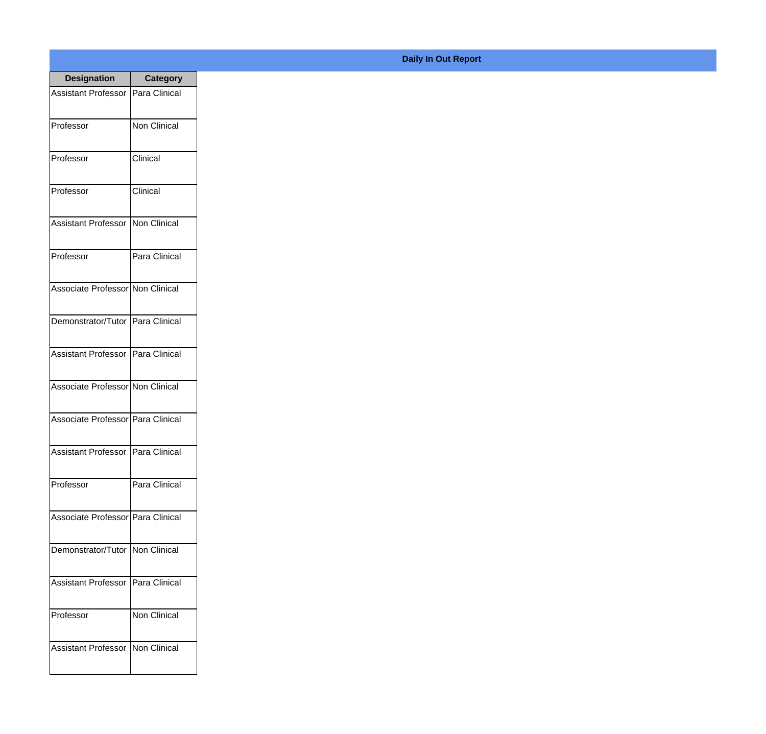| <b>Designation</b>                  | <b>Category</b>     |
|-------------------------------------|---------------------|
| Assistant Professor   Para Clinical |                     |
| Professor                           | <b>Non Clinical</b> |
| Professor                           | Clinical            |
| Professor                           | Clinical            |
| Assistant Professor   Non Clinical  |                     |
| Professor                           | Para Clinical       |
| Associate Professor Non Clinical    |                     |
| Demonstrator/Tutor   Para Clinical  |                     |
| Assistant Professor   Para Clinical |                     |
| Associate Professor Non Clinical    |                     |
| Associate Professor Para Clinical   |                     |
| Assistant Professor   Para Clinical |                     |
| Professor                           | Para Clinical       |
| Associate Professor   Para Clinical |                     |
| Demonstrator/Tutor   Non Clinical   |                     |
| <b>Assistant Professor</b>          | Para Clinical       |
| Professor                           | <b>Non Clinical</b> |
| Assistant Professor   Non Clinical  |                     |

## **Daily In Out Report**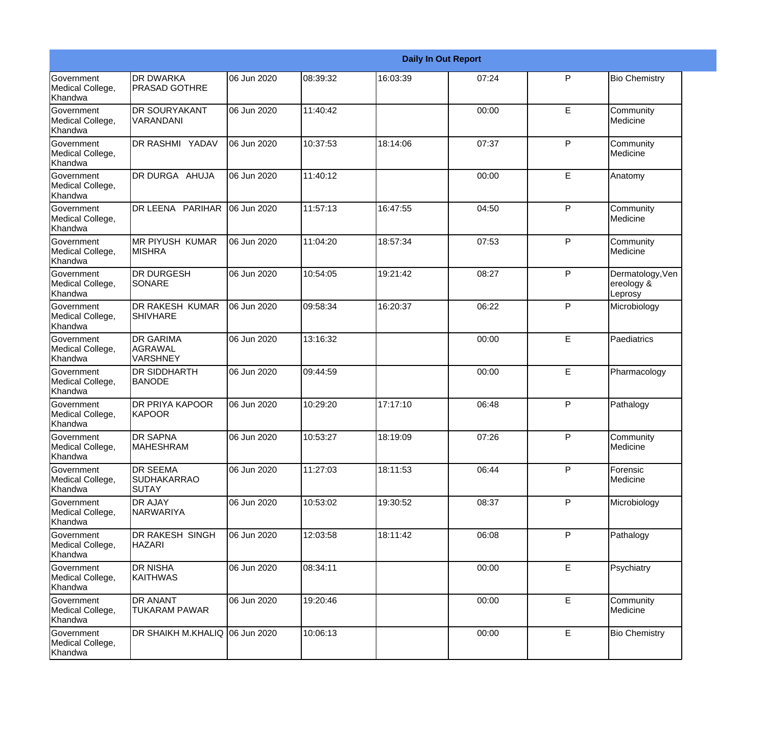|                                                  |                                                       |             |          |          | <b>Daily In Out Report</b> |   |                                           |
|--------------------------------------------------|-------------------------------------------------------|-------------|----------|----------|----------------------------|---|-------------------------------------------|
| Government<br>Medical College,<br>Khandwa        | <b>DR DWARKA</b><br><b>PRASAD GOTHRE</b>              | 06 Jun 2020 | 08:39:32 | 16:03:39 | 07:24                      | P | <b>Bio Chemistry</b>                      |
| Government<br>Medical College,<br>Khandwa        | <b>DR SOURYAKANT</b><br>VARANDANI                     | 06 Jun 2020 | 11:40:42 |          | 00:00                      | E | Community<br>Medicine                     |
| <b>Government</b><br>Medical College,<br>Khandwa | DR RASHMI YADAV                                       | 06 Jun 2020 | 10:37:53 | 18:14:06 | 07:37                      | P | Community<br>Medicine                     |
| <b>Government</b><br>Medical College,<br>Khandwa | DR DURGA AHUJA                                        | 06 Jun 2020 | 11:40:12 |          | 00:00                      | E | Anatomy                                   |
| Government<br>Medical College,<br>Khandwa        | DR LEENA PARIHAR                                      | 06 Jun 2020 | 11:57:13 | 16:47:55 | 04:50                      | P | Community<br>Medicine                     |
| Government<br>Medical College,<br>Khandwa        | <b>MR PIYUSH KUMAR</b><br><b>MISHRA</b>               | 06 Jun 2020 | 11:04:20 | 18:57:34 | 07:53                      | P | Community<br>Medicine                     |
| <b>Government</b><br>Medical College,<br>Khandwa | <b>DR DURGESH</b><br>SONARE                           | 06 Jun 2020 | 10:54:05 | 19:21:42 | 08:27                      | P | Dermatology, Ven<br>ereology &<br>Leprosy |
| <b>Government</b><br>Medical College,<br>Khandwa | <b>DR RAKESH KUMAR</b><br><b>SHIVHARE</b>             | 06 Jun 2020 | 09:58:34 | 16:20:37 | 06:22                      | P | Microbiology                              |
| <b>Government</b><br>Medical College,<br>Khandwa | <b>DR GARIMA</b><br><b>AGRAWAL</b><br>VARSHNEY        | 06 Jun 2020 | 13:16:32 |          | 00:00                      | E | Paediatrics                               |
| Government<br>Medical College,<br>Khandwa        | <b>DR SIDDHARTH</b><br><b>BANODE</b>                  | 06 Jun 2020 | 09:44:59 |          | 00:00                      | E | Pharmacology                              |
| <b>Government</b><br>Medical College,<br>Khandwa | <b>DR PRIYA KAPOOR</b><br>KAPOOR                      | 06 Jun 2020 | 10:29:20 | 17:17:10 | 06:48                      | P | Pathalogy                                 |
| Government<br>Medical College,<br>Khandwa        | <b>DR SAPNA</b><br><b>MAHESHRAM</b>                   | 06 Jun 2020 | 10:53:27 | 18:19:09 | 07:26                      | P | Community<br>Medicine                     |
| Government<br>Medical College,<br>Khandwa        | <b>DR SEEMA</b><br><b>SUDHAKARRAO</b><br><b>SUTAY</b> | 06 Jun 2020 | 11:27:03 | 18:11:53 | 06:44                      | P | Forensic<br>Medicine                      |
| Government<br>Medical College,<br>Khandwa        | <b>DR AJAY</b><br><b>NARWARIYA</b>                    | 06 Jun 2020 | 10:53:02 | 19:30:52 | 08:37                      | P | Microbiology                              |
| Government<br>Medical College,<br>Khandwa        | <b>DR RAKESH SINGH</b><br><b>HAZARI</b>               | 06 Jun 2020 | 12:03:58 | 18:11:42 | 06:08                      | P | Pathalogy                                 |
| Government<br>Medical College,<br>Khandwa        | <b>DR NISHA</b><br><b>KAITHWAS</b>                    | 06 Jun 2020 | 08:34:11 |          | 00:00                      | E | Psychiatry                                |
| Government<br>Medical College,<br>Khandwa        | <b>DR ANANT</b><br><b>TUKARAM PAWAR</b>               | 06 Jun 2020 | 19:20:46 |          | 00:00                      | E | Community<br>Medicine                     |
| Government<br>Medical College,<br>Khandwa        | DR SHAIKH M.KHALIQ 06 Jun 2020                        |             | 10:06:13 |          | 00:00                      | E | <b>Bio Chemistry</b>                      |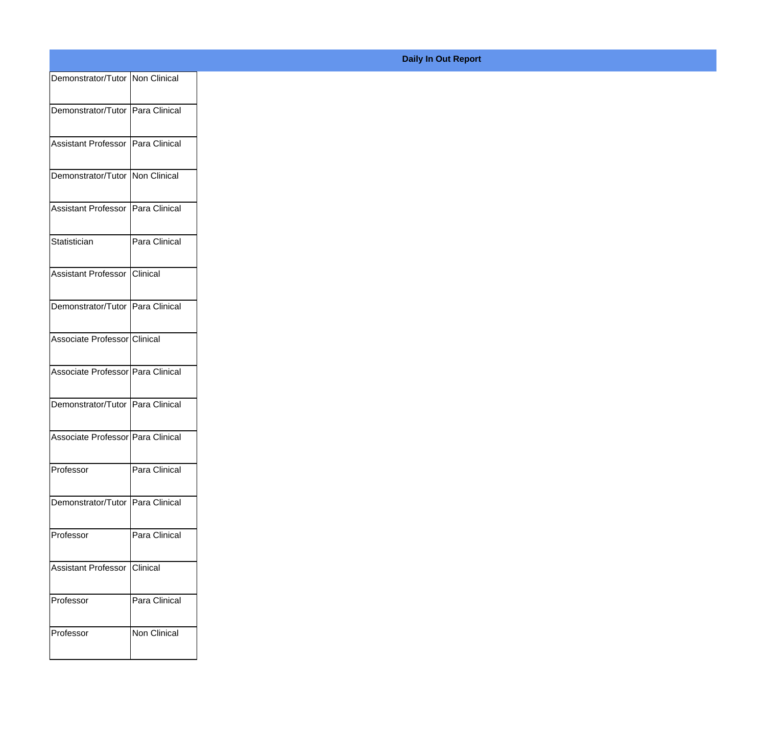| Demonstrator/Tutor Non Clinical   |               |
|-----------------------------------|---------------|
| Demonstrator/Tutor Para Clinical  |               |
|                                   |               |
| Assistant Professor Para Clinical |               |
| Demonstrator/Tutor Non Clinical   |               |
| Assistant Professor Para Clinical |               |
| Statistician                      | Para Clinical |
| Assistant Professor Clinical      |               |
| Demonstrator/Tutor Para Clinical  |               |
| Associate Professor Clinical      |               |
| Associate Professor Para Clinical |               |
| Demonstrator/Tutor Para Clinical  |               |
| Associate Professor Para Clinical |               |
| Professor                         | Para Clinical |
| Demonstrator/Tutor Para Clinical  |               |
| Professor                         | Para Clinical |
| Assistant Professor Clinical      |               |
| Professor                         | Para Clinical |
| Professor                         | Non Clinical  |
|                                   |               |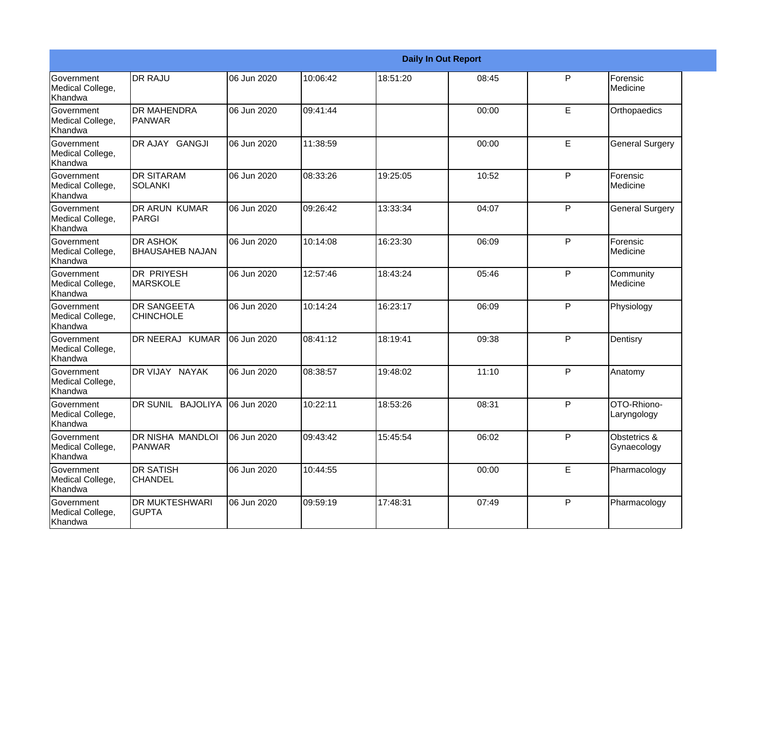|                                                  |                                           |             |          |          | <b>Daily In Out Report</b> |              |                             |
|--------------------------------------------------|-------------------------------------------|-------------|----------|----------|----------------------------|--------------|-----------------------------|
| Government<br>Medical College,<br>Khandwa        | <b>DR RAJU</b>                            | 06 Jun 2020 | 10:06:42 | 18:51:20 | 08:45                      | P            | Forensic<br>Medicine        |
| <b>Government</b><br>Medical College,<br>Khandwa | <b>DR MAHENDRA</b><br><b>PANWAR</b>       | 06 Jun 2020 | 09:41:44 |          | 00:00                      | E            | Orthopaedics                |
| Government<br>Medical College,<br>Khandwa        | DR AJAY GANGJI                            | 06 Jun 2020 | 11:38:59 |          | 00:00                      | E            | <b>General Surgery</b>      |
| Government<br>Medical College,<br>Khandwa        | <b>DR SITARAM</b><br><b>SOLANKI</b>       | 06 Jun 2020 | 08:33:26 | 19:25:05 | 10:52                      | P            | Forensic<br>Medicine        |
| <b>Government</b><br>Medical College,<br>Khandwa | DR ARUN KUMAR<br>PARGI                    | 06 Jun 2020 | 09:26:42 | 13:33:34 | 04:07                      | P            | <b>General Surgery</b>      |
| Government<br>Medical College,<br>Khandwa        | <b>DR ASHOK</b><br><b>BHAUSAHEB NAJAN</b> | 06 Jun 2020 | 10:14:08 | 16:23:30 | 06:09                      | P            | Forensic<br>Medicine        |
| Government<br>Medical College,<br>Khandwa        | DR PRIYESH<br><b>MARSKOLE</b>             | 06 Jun 2020 | 12:57:46 | 18:43:24 | 05:46                      | P            | Community<br>Medicine       |
| Government<br>Medical College,<br>Khandwa        | <b>DR SANGEETA</b><br><b>CHINCHOLE</b>    | 06 Jun 2020 | 10:14:24 | 16:23:17 | 06:09                      | P            | Physiology                  |
| Government<br>Medical College,<br>Khandwa        | DR NEERAJ KUMAR                           | 06 Jun 2020 | 08:41:12 | 18:19:41 | 09:38                      | P            | Dentisry                    |
| <b>Government</b><br>Medical College,<br>Khandwa | DR VIJAY NAYAK                            | 06 Jun 2020 | 08:38:57 | 19:48:02 | 11:10                      | P            | Anatomy                     |
| <b>Government</b><br>Medical College,<br>Khandwa | DR SUNIL BAJOLIYA                         | 06 Jun 2020 | 10:22:11 | 18:53:26 | 08:31                      | P            | OTO-Rhiono-<br>Laryngology  |
| Government<br>Medical College,<br>Khandwa        | <b>DR NISHA MANDLOI</b><br><b>PANWAR</b>  | 06 Jun 2020 | 09:43:42 | 15:45:54 | 06:02                      | P            | Obstetrics &<br>Gynaecology |
| Government<br>Medical College,<br>Khandwa        | <b>DR SATISH</b><br><b>CHANDEL</b>        | 06 Jun 2020 | 10:44:55 |          | 00:00                      | $\mathsf E$  | Pharmacology                |
| Government<br>Medical College,<br>Khandwa        | <b>DR MUKTESHWARI</b><br><b>GUPTA</b>     | 06 Jun 2020 | 09:59:19 | 17:48:31 | 07:49                      | $\mathsf{P}$ | Pharmacology                |